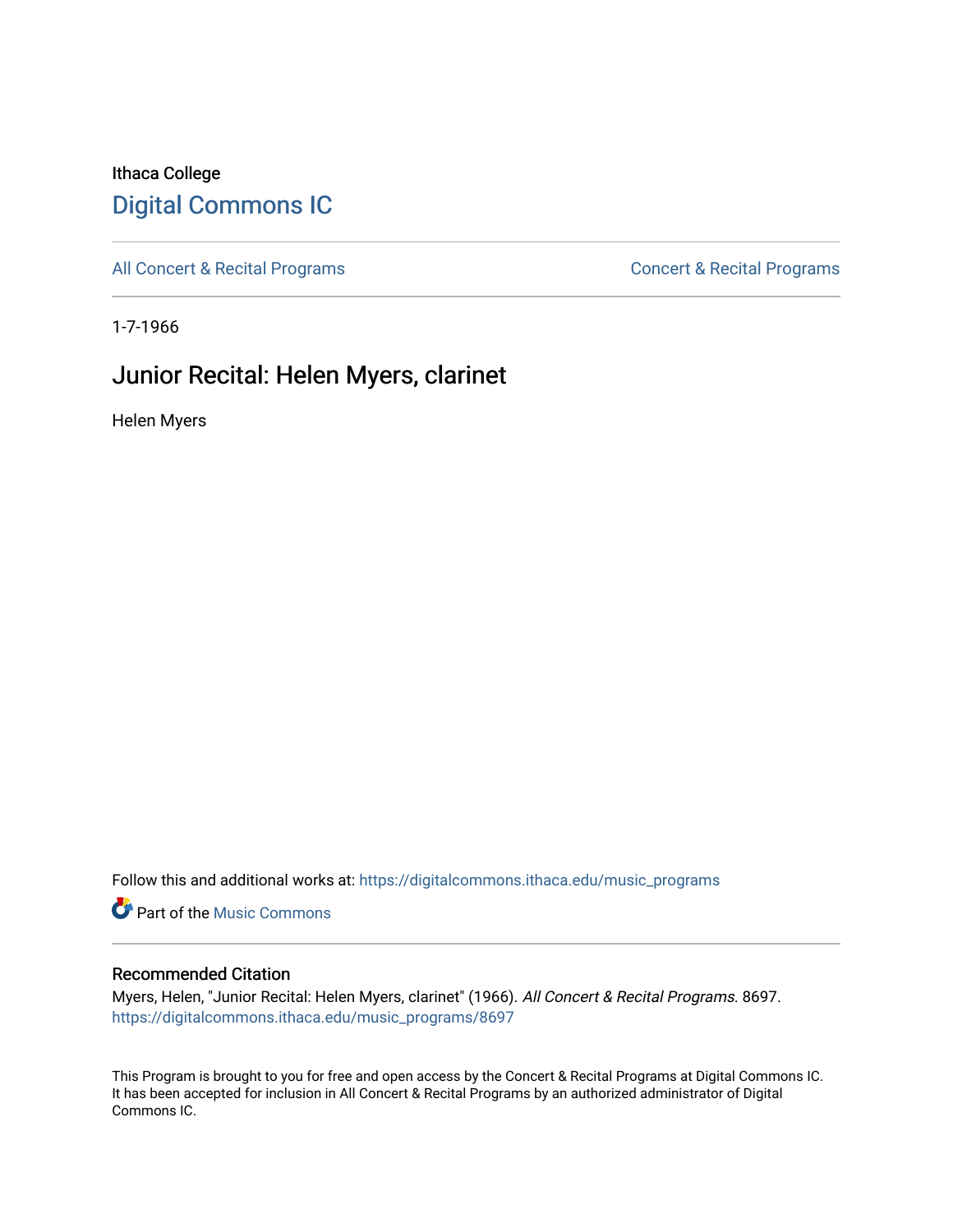### Ithaca College [Digital Commons IC](https://digitalcommons.ithaca.edu/)

[All Concert & Recital Programs](https://digitalcommons.ithaca.edu/music_programs) **Concert & Recital Programs** Concert & Recital Programs

1-7-1966

## Junior Recital: Helen Myers, clarinet

Helen Myers

Follow this and additional works at: [https://digitalcommons.ithaca.edu/music\\_programs](https://digitalcommons.ithaca.edu/music_programs?utm_source=digitalcommons.ithaca.edu%2Fmusic_programs%2F8697&utm_medium=PDF&utm_campaign=PDFCoverPages) 

**Part of the Music Commons** 

### Recommended Citation

Myers, Helen, "Junior Recital: Helen Myers, clarinet" (1966). All Concert & Recital Programs. 8697. [https://digitalcommons.ithaca.edu/music\\_programs/8697](https://digitalcommons.ithaca.edu/music_programs/8697?utm_source=digitalcommons.ithaca.edu%2Fmusic_programs%2F8697&utm_medium=PDF&utm_campaign=PDFCoverPages) 

This Program is brought to you for free and open access by the Concert & Recital Programs at Digital Commons IC. It has been accepted for inclusion in All Concert & Recital Programs by an authorized administrator of Digital Commons IC.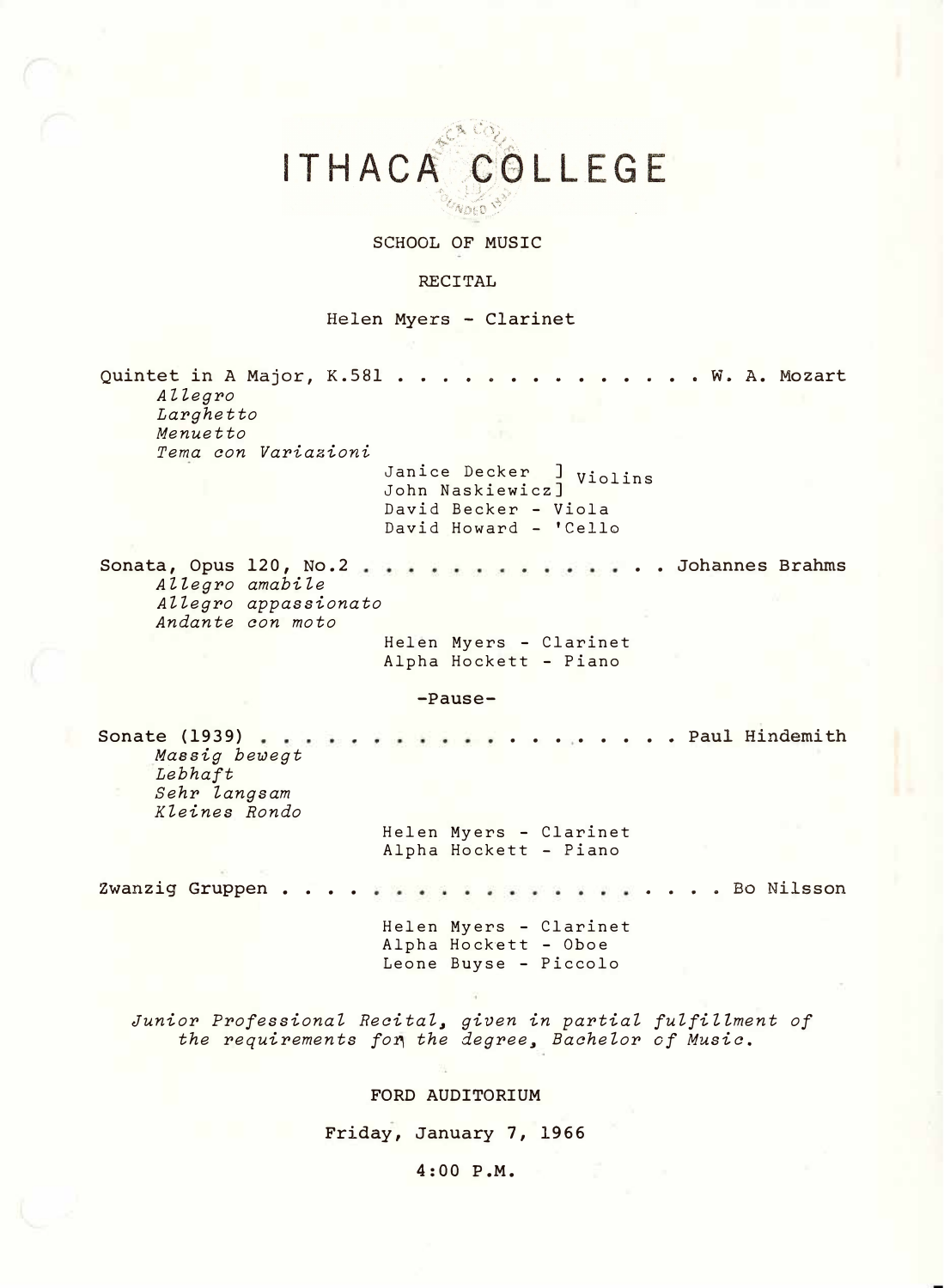# ITHACA COLLEGE **WOED**

SCHOOL OF MUSIC

#### **RECITAL**

Helen Myers - Clarinet

Quintet in A Major, K.581 . . . . . . . . . . . . . W. A. Mozart *Aztegro Larghetto Menuetto Tera con Variazioni*  Janice Decker ] Violins John Naskiewicz] David Becker - Viola David Howard - 'Cello **Sonata,** Opus **120, No.2**  .. **Johannes Brahms**  *A Hegro amabi le Allegro appassionato Andante con moto*  Helen Myers - Clarinet Alpha Hockett - Piano **-Pause-** ..... ... **Paul Hindemith Sonate (1939)**   $\cdot$   $\cdot$ *Massig bewegt Lebhaft Sehr langsam Kleines Rondo*  Helen Myers - Clarinet Alpha Hockett - Piano Zwanzig Gruppen . . . . . . . . . .... Bo Nilsson Helen Myers - Clarinet Alpha Hock�tt - Oboe Leone Buyse - Piccolo *Junior Professional Recital, given in partial fulfiHment of the requirements fo1 the degree, Bachelor of Music.*  FORD AUDITORIUM Friday, January 7, 1966

4:00 P.M.